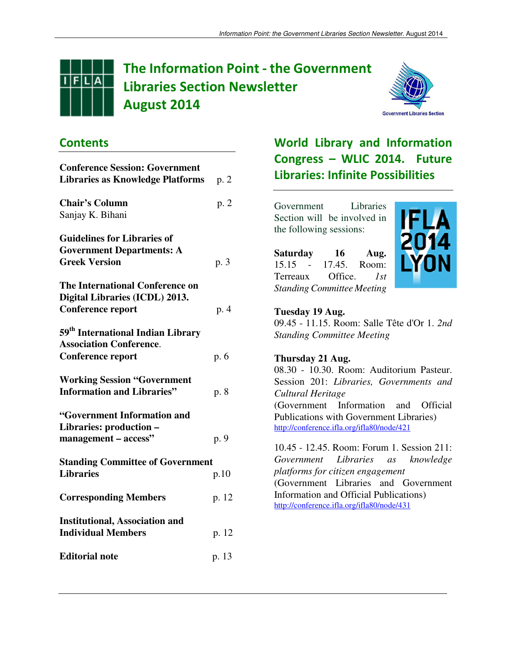

# The Information Point - the Government Libraries Section Newsletter August 2014



### **Contents**

| <b>Conference Session: Government</b>         |       |
|-----------------------------------------------|-------|
| <b>Libraries as Knowledge Platforms</b>       | p. 2  |
| <b>Chair's Column</b>                         | p. 2  |
| Sanjay K. Bihani                              |       |
| <b>Guidelines for Libraries of</b>            |       |
| <b>Government Departments: A</b>              |       |
| <b>Greek Version</b>                          | p. 3  |
| The International Conference on               |       |
| Digital Libraries (ICDL) 2013.                |       |
| <b>Conference report</b>                      | p. 4  |
| 59 <sup>th</sup> International Indian Library |       |
| <b>Association Conference.</b>                |       |
| <b>Conference report</b>                      | p. 6  |
| <b>Working Session "Government</b>            |       |
| <b>Information and Libraries"</b>             | p. 8  |
| "Government Information and                   |       |
| Libraries: production -                       |       |
| management - access"                          | p. 9  |
| <b>Standing Committee of Government</b>       |       |
| <b>Libraries</b>                              | p.10  |
| <b>Corresponding Members</b>                  | p. 12 |
| <b>Institutional, Association and</b>         |       |
| <b>Individual Members</b>                     | p. 12 |
| <b>Editorial note</b>                         | p. 13 |

## World Library and Information Congress – WLIC 2014. Future Libraries: Infinite Possibilities

Government Libraries Section will be involved in the following sessions:

**Saturday 16 Aug.**  15.15 - 17.45. Room: Terreaux Office. *1st Standing Committee Meeting* 



#### **Tuesday 19 Aug.** 09.45 - 11.15. Room: Salle Tête d'Or 1. *2nd Standing Committee Meeting*

#### **Thursday 21 Aug.** 08.30 - 10.30. Room: Auditorium Pasteur. Session 201: *Libraries, Governments and Cultural Heritage* (Government Information and Official Publications with Government Libraries) http://conference.ifla.org/ifla80/node/421

10.45 - 12.45. Room: Forum 1. Session 211: *Government Libraries as knowledge platforms for citizen engagement* (Government Libraries and Government Information and Official Publications) http://conference.ifla.org/ifla80/node/431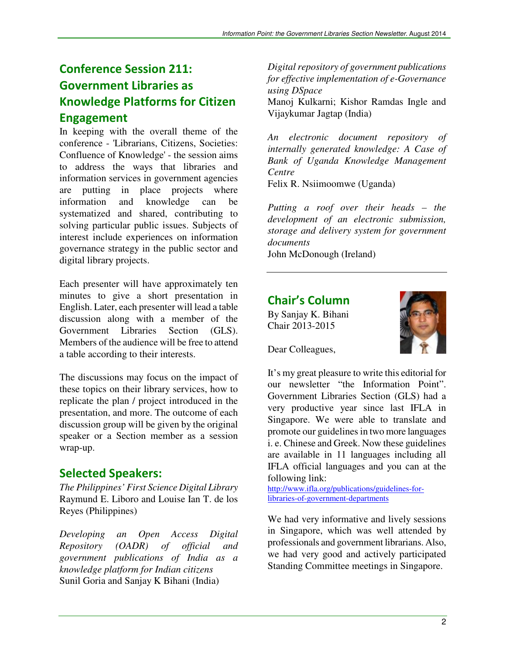## Conference Session 211: Government Libraries as Knowledge Platforms for Citizen Engagement

In keeping with the overall theme of the conference - 'Librarians, Citizens, Societies: Confluence of Knowledge' - the session aims to address the ways that libraries and information services in government agencies are putting in place projects where information and knowledge can be systematized and shared, contributing to solving particular public issues. Subjects of interest include experiences on information governance strategy in the public sector and digital library projects.

Each presenter will have approximately ten minutes to give a short presentation in English. Later, each presenter will lead a table discussion along with a member of the Government Libraries Section (GLS). Members of the audience will be free to attend a table according to their interests.

The discussions may focus on the impact of these topics on their library services, how to replicate the plan / project introduced in the presentation, and more. The outcome of each discussion group will be given by the original speaker or a Section member as a session wrap-up.

### Selected Speakers:

*The Philippines' First Science Digital Library*  Raymund E. Liboro and Louise Ian T. de los Reyes (Philippines)

*Developing an Open Access Digital Repository (OADR) of official and government publications of India as a knowledge platform for Indian citizens*  Sunil Goria and Sanjay K Bihani (India)

*Digital repository of government publications for effective implementation of e-Governance using DSpace* 

Manoj Kulkarni; Kishor Ramdas Ingle and Vijaykumar Jagtap (India)

*An electronic document repository of internally generated knowledge: A Case of Bank of Uganda Knowledge Management Centre* 

Felix R. Nsiimoomwe (Uganda)

*Putting a roof over their heads – the development of an electronic submission, storage and delivery system for government documents* 

John McDonough (Ireland)

### Chair's Column

By Sanjay K. Bihani Chair 2013-2015



Dear Colleagues,

It's my great pleasure to write this editorial for our newsletter "the Information Point". Government Libraries Section (GLS) had a very productive year since last IFLA in Singapore. We were able to translate and promote our guidelines in two more languages i. e. Chinese and Greek. Now these guidelines are available in 11 languages including all IFLA official languages and you can at the following link:

http://www.ifla.org/publications/guidelines-forlibraries-of-government-departments

We had very informative and lively sessions in Singapore, which was well attended by professionals and government librarians. Also, we had very good and actively participated Standing Committee meetings in Singapore.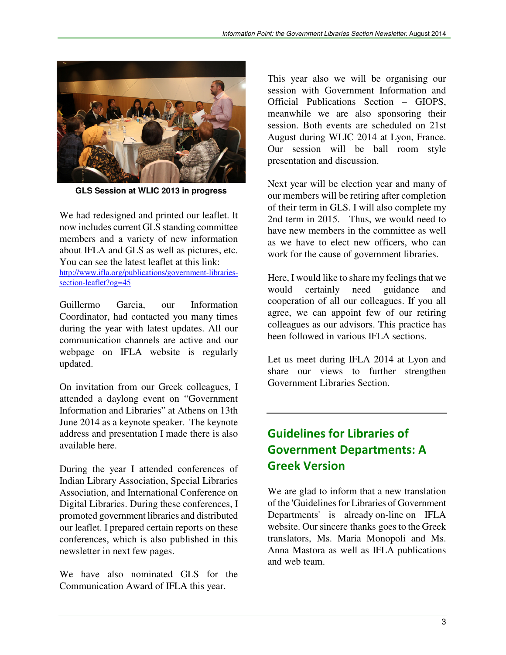

**GLS Session at WLIC 2013 in progress** 

We had redesigned and printed our leaflet. It now includes current GLS standing committee members and a variety of new information about IFLA and GLS as well as pictures, etc. You can see the latest leaflet at this link: http://www.ifla.org/publications/government-librariessection-leaflet?og=45

Guillermo Garcia, our Information Coordinator, had contacted you many times during the year with latest updates. All our communication channels are active and our webpage on IFLA website is regularly updated.

On invitation from our Greek colleagues, I attended a daylong event on "Government Information and Libraries" at Athens on 13th June 2014 as a keynote speaker. The keynote address and presentation I made there is also available here.

During the year I attended conferences of Indian Library Association, Special Libraries Association, and International Conference on Digital Libraries. During these conferences, I promoted government libraries and distributed our leaflet. I prepared certain reports on these conferences, which is also published in this newsletter in next few pages.

We have also nominated GLS for the Communication Award of IFLA this year.

This year also we will be organising our session with Government Information and Official Publications Section – GIOPS, meanwhile we are also sponsoring their session. Both events are scheduled on 21st August during WLIC 2014 at Lyon, France. Our session will be ball room style presentation and discussion.

Next year will be election year and many of our members will be retiring after completion of their term in GLS. I will also complete my 2nd term in 2015. Thus, we would need to have new members in the committee as well as we have to elect new officers, who can work for the cause of government libraries.

Here, I would like to share my feelings that we would certainly need guidance and cooperation of all our colleagues. If you all agree, we can appoint few of our retiring colleagues as our advisors. This practice has been followed in various IFLA sections.

Let us meet during IFLA 2014 at Lyon and share our views to further strengthen Government Libraries Section.

## Guidelines for Libraries of Government Departments: A Greek Version

We are glad to inform that a new translation of the 'Guidelines for Libraries of Government Departments' is already on-line on IFLA website. Our sincere thanks goes to the Greek translators, Ms. Maria Monopoli and Ms. Anna Mastora as well as IFLA publications and web team.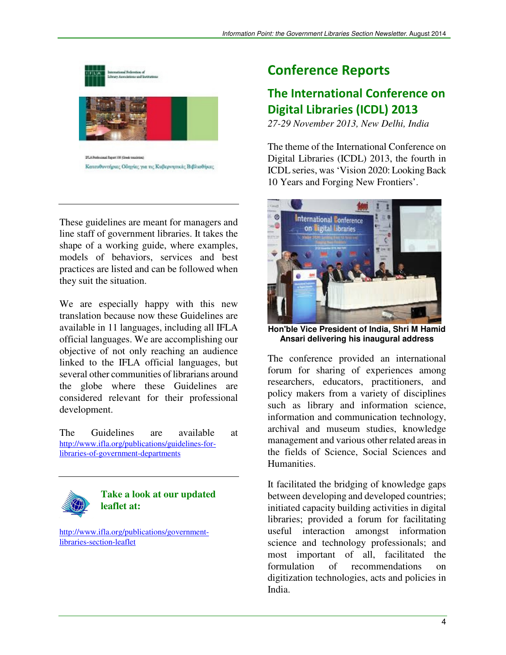

These guidelines are meant for managers and line staff of government libraries. It takes the shape of a working guide, where examples, models of behaviors, services and best practices are listed and can be followed when they suit the situation.

We are especially happy with this new translation because now these Guidelines are available in 11 languages, including all IFLA official languages. We are accomplishing our objective of not only reaching an audience linked to the IFLA official languages, but several other communities of librarians around the globe where these Guidelines are considered relevant for their professional development.

The Guidelines are available at http://www.ifla.org/publications/guidelines-forlibraries-of-government-departments



#### **Take a look at our updated leaflet at:**

http://www.ifla.org/publications/governmentlibraries-section-leaflet

## Conference Reports

### The International Conference on Digital Libraries (ICDL) 2013

*27-29 November 2013, New Delhi, India* 

The theme of the International Conference on Digital Libraries (ICDL) 2013, the fourth in ICDL series, was 'Vision 2020: Looking Back 10 Years and Forging New Frontiers'.



**Hon'ble Vice President of India, Shri M Hamid Ansari delivering his inaugural address** 

The conference provided an international forum for sharing of experiences among researchers, educators, practitioners, and policy makers from a variety of disciplines such as library and information science, information and communication technology, archival and museum studies, knowledge management and various other related areas in the fields of Science, Social Sciences and Humanities.

It facilitated the bridging of knowledge gaps between developing and developed countries; initiated capacity building activities in digital libraries; provided a forum for facilitating useful interaction amongst information science and technology professionals; and most important of all, facilitated the formulation of recommendations on digitization technologies, acts and policies in India.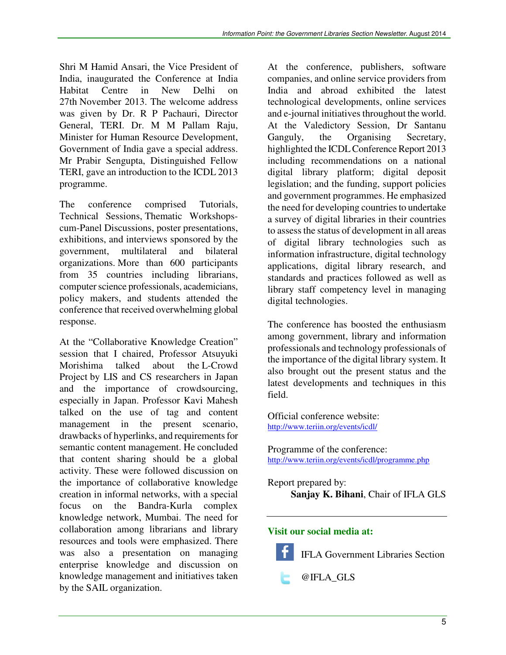Shri M Hamid Ansari, the Vice President of India, inaugurated the Conference at India Habitat Centre in New Delhi on 27th November 2013. The welcome address was given by Dr. R P Pachauri, Director General, TERI. Dr. M M Pallam Raju, Minister for Human Resource Development, Government of India gave a special address. Mr Prabir Sengupta, Distinguished Fellow TERI, gave an introduction to the ICDL 2013 programme.

The conference comprised Tutorials, Technical Sessions, Thematic Workshopscum-Panel Discussions, poster presentations, exhibitions, and interviews sponsored by the government, multilateral and bilateral organizations. More than 600 participants from 35 countries including librarians, computer science professionals, academicians, policy makers, and students attended the conference that received overwhelming global response.

At the "Collaborative Knowledge Creation" session that I chaired, Professor Atsuyuki Morishima talked about the L-Crowd Project by LIS and CS researchers in Japan and the importance of crowdsourcing, especially in Japan. Professor Kavi Mahesh talked on the use of tag and content management in the present scenario, drawbacks of hyperlinks, and requirements for semantic content management. He concluded that content sharing should be a global activity. These were followed discussion on the importance of collaborative knowledge creation in informal networks, with a special focus on the Bandra-Kurla complex knowledge network, Mumbai. The need for collaboration among librarians and library resources and tools were emphasized. There was also a presentation on managing enterprise knowledge and discussion on knowledge management and initiatives taken by the SAIL organization.

At the conference, publishers, software companies, and online service providers from India and abroad exhibited the latest technological developments, online services and e-journal initiatives throughout the world. At the Valedictory Session, Dr Santanu Ganguly, the Organising Secretary, highlighted the ICDL Conference Report 2013 including recommendations on a national digital library platform; digital deposit legislation; and the funding, support policies and government programmes. He emphasized the need for developing countries to undertake a survey of digital libraries in their countries to assess the status of development in all areas of digital library technologies such as information infrastructure, digital technology applications, digital library research, and standards and practices followed as well as library staff competency level in managing digital technologies.

The conference has boosted the enthusiasm among government, library and information professionals and technology professionals of the importance of the digital library system. It also brought out the present status and the latest developments and techniques in this field.

Official conference website: http://www.teriin.org/events/icdl/

Programme of the conference: http://www.teriin.org/events/icdl/programme.php

Report prepared by: **Sanjay K. Bihani**, Chair of IFLA GLS

#### **Visit our social media at:**



IFLA Government Libraries Section

@IFLA\_GLS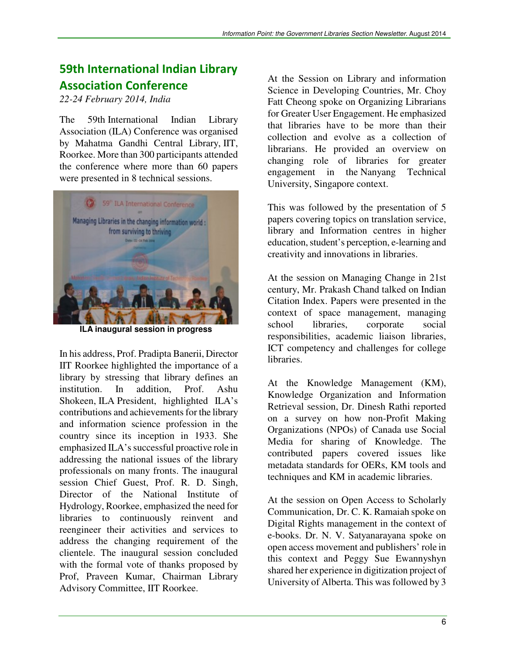## 59th International Indian Library Association Conference

*22-24 February 2014, India* 

The 59th International Indian Library Association (ILA) Conference was organised by Mahatma Gandhi Central Library, IIT, Roorkee. More than 300 participants attended the conference where more than 60 papers were presented in 8 technical sessions.



**ILA inaugural session in progress** 

In his address, Prof. Pradipta Banerii, Director IIT Roorkee highlighted the importance of a library by stressing that library defines an institution. In addition, Prof. Ashu Shokeen, ILA President, highlighted ILA's contributions and achievements for the library and information science profession in the country since its inception in 1933. She emphasized ILA's successful proactive role in addressing the national issues of the library professionals on many fronts. The inaugural session Chief Guest, Prof. R. D. Singh, Director of the National Institute of Hydrology, Roorkee, emphasized the need for libraries to continuously reinvent and reengineer their activities and services to address the changing requirement of the clientele. The inaugural session concluded with the formal vote of thanks proposed by Prof, Praveen Kumar, Chairman Library Advisory Committee, IIT Roorkee.

At the Session on Library and information Science in Developing Countries, Mr. Choy Fatt Cheong spoke on Organizing Librarians for Greater User Engagement. He emphasized that libraries have to be more than their collection and evolve as a collection of librarians. He provided an overview on changing role of libraries for greater engagement in the Nanyang Technical University, Singapore context.

This was followed by the presentation of 5 papers covering topics on translation service, library and Information centres in higher education, student's perception, e-learning and creativity and innovations in libraries.

At the session on Managing Change in 21st century, Mr. Prakash Chand talked on Indian Citation Index. Papers were presented in the context of space management, managing school libraries, corporate social responsibilities, academic liaison libraries, ICT competency and challenges for college libraries.

At the Knowledge Management (KM), Knowledge Organization and Information Retrieval session, Dr. Dinesh Rathi reported on a survey on how non-Profit Making Organizations (NPOs) of Canada use Social Media for sharing of Knowledge. The contributed papers covered issues like metadata standards for OERs, KM tools and techniques and KM in academic libraries.

At the session on Open Access to Scholarly Communication, Dr. C. K. Ramaiah spoke on Digital Rights management in the context of e-books. Dr. N. V. Satyanarayana spoke on open access movement and publishers' role in this context and Peggy Sue Ewannyshyn shared her experience in digitization project of University of Alberta. This was followed by 3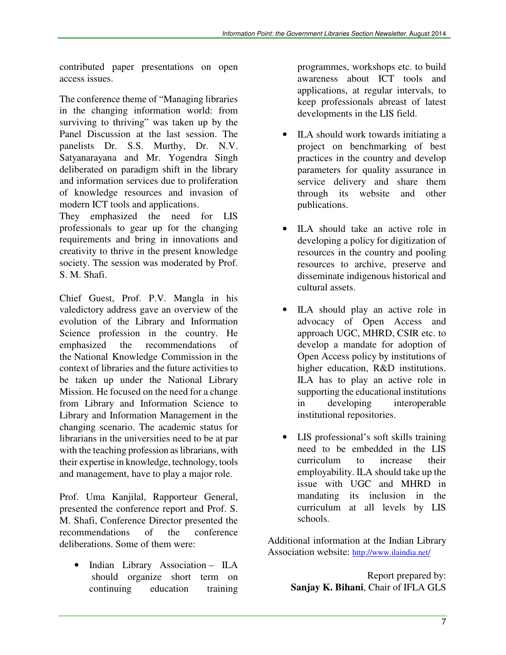contributed paper presentations on open access issues.

The conference theme of "Managing libraries in the changing information world: from surviving to thriving" was taken up by the Panel Discussion at the last session. The panelists Dr. S.S. Murthy, Dr. N.V. Satyanarayana and Mr. Yogendra Singh deliberated on paradigm shift in the library and information services due to proliferation of knowledge resources and invasion of modern ICT tools and applications.

They emphasized the need for LIS professionals to gear up for the changing requirements and bring in innovations and creativity to thrive in the present knowledge society. The session was moderated by Prof. S. M. Shafi.

Chief Guest, Prof. P.V. Mangla in his valedictory address gave an overview of the evolution of the Library and Information Science profession in the country. He emphasized the recommendations of the National Knowledge Commission in the context of libraries and the future activities to be taken up under the National Library Mission. He focused on the need for a change from Library and Information Science to Library and Information Management in the changing scenario. The academic status for librarians in the universities need to be at par with the teaching profession as librarians, with their expertise in knowledge, technology, tools and management, have to play a major role.

Prof. Uma Kanjilal, Rapporteur General, presented the conference report and Prof. S. M. Shafi, Conference Director presented the recommendations of the conference deliberations. Some of them were:

• Indian Library Association – ILA should organize short term on continuing education training

programmes, workshops etc. to build awareness about ICT tools and applications, at regular intervals, to keep professionals abreast of latest developments in the LIS field.

- ILA should work towards initiating a project on benchmarking of best practices in the country and develop parameters for quality assurance in service delivery and share them through its website and other publications.
- ILA should take an active role in developing a policy for digitization of resources in the country and pooling resources to archive, preserve and disseminate indigenous historical and cultural assets.
- ILA should play an active role in advocacy of Open Access and approach UGC, MHRD, CSIR etc. to develop a mandate for adoption of Open Access policy by institutions of higher education, R&D institutions. ILA has to play an active role in supporting the educational institutions in developing interoperable institutional repositories.
- LIS professional's soft skills training need to be embedded in the LIS curriculum to increase their employability. ILA should take up the issue with UGC and MHRD in mandating its inclusion in the curriculum at all levels by LIS schools.

Additional information at the Indian Library Association website: http://www.ilaindia.net/

> Report prepared by: **Sanjay K. Bihani**, Chair of IFLA GLS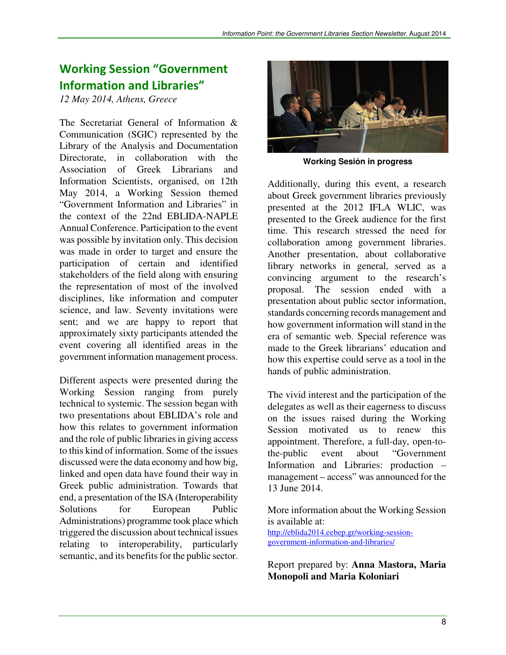### Working Session "Government Information and Libraries"

*12 May 2014, Athens, Greece* 

The Secretariat General of Information & Communication (SGIC) represented by the Library of the Analysis and Documentation Directorate, in collaboration with the Association of Greek Librarians and Information Scientists, organised, on 12th May 2014, a Working Session themed "Government Information and Libraries" in the context of the 22nd EBLIDA-NAPLE Annual Conference. Participation to the event was possible by invitation only. This decision was made in order to target and ensure the participation of certain and identified stakeholders of the field along with ensuring the representation of most of the involved disciplines, like information and computer science, and law. Seventy invitations were sent; and we are happy to report that approximately sixty participants attended the event covering all identified areas in the government information management process.

Different aspects were presented during the Working Session ranging from purely technical to systemic. The session began with two presentations about EBLIDA's role and how this relates to government information and the role of public libraries in giving access to this kind of information. Some of the issues discussed were the data economy and how big, linked and open data have found their way in Greek public administration. Towards that end, a presentation of the ISA (Interoperability Solutions for European Public Administrations) programme took place which triggered the discussion about technical issues relating to interoperability, particularly semantic, and its benefits for the public sector.



**Working Sesión in progress** 

Additionally, during this event, a research about Greek government libraries previously presented at the 2012 IFLA WLIC, was presented to the Greek audience for the first time. This research stressed the need for collaboration among government libraries. Another presentation, about collaborative library networks in general, served as a convincing argument to the research's proposal. The session ended with a presentation about public sector information, standards concerning records management and how government information will stand in the era of semantic web. Special reference was made to the Greek librarians' education and how this expertise could serve as a tool in the hands of public administration.

The vivid interest and the participation of the delegates as well as their eagerness to discuss on the issues raised during the Working Session motivated us to renew this appointment. Therefore, a full-day, open-tothe-public event about "Government Information and Libraries: production – management – access" was announced for the 13 June 2014.

More information about the Working Session is available at: http://eblida2014.eebep.gr/working-sessiongovernment-information-and-libraries/

Report prepared by: **Anna Mastora, Maria Monopoli and Maria Koloniari**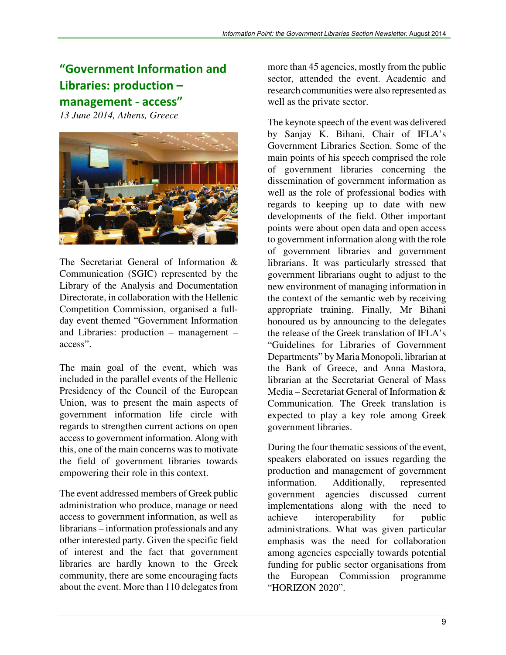# "Government Information and Libraries: production – management - access"

*13 June 2014, Athens, Greece* 



The Secretariat General of Information & Communication (SGIC) represented by the Library of the Analysis and Documentation Directorate, in collaboration with the Hellenic Competition Commission, organised a fullday event themed "Government Information and Libraries: production – management – access".

The main goal of the event, which was included in the parallel events of the Hellenic Presidency of the Council of the European Union, was to present the main aspects of government information life circle with regards to strengthen current actions on open access to government information. Along with this, one of the main concerns was to motivate the field of government libraries towards empowering their role in this context.

The event addressed members of Greek public administration who produce, manage or need access to government information, as well as librarians – information professionals and any other interested party. Given the specific field of interest and the fact that government libraries are hardly known to the Greek community, there are some encouraging facts about the event. More than 110 delegates from

more than 45 agencies, mostly from the public sector, attended the event. Academic and research communities were also represented as well as the private sector.

The keynote speech of the event was delivered by Sanjay K. Bihani, Chair of IFLA's Government Libraries Section. Some of the main points of his speech comprised the role of government libraries concerning the dissemination of government information as well as the role of professional bodies with regards to keeping up to date with new developments of the field. Other important points were about open data and open access to government information along with the role of government libraries and government librarians. It was particularly stressed that government librarians ought to adjust to the new environment of managing information in the context of the semantic web by receiving appropriate training. Finally, Mr Bihani honoured us by announcing to the delegates the release of the Greek translation of IFLA's "Guidelines for Libraries of Government Departments" by Maria Monopoli, librarian at the Bank of Greece, and Anna Mastora, librarian at the Secretariat General of Mass Media – Secretariat General of Information & Communication. The Greek translation is expected to play a key role among Greek government libraries.

During the four thematic sessions of the event, speakers elaborated on issues regarding the production and management of government information. Additionally, represented government agencies discussed current implementations along with the need to achieve interoperability for public administrations. What was given particular emphasis was the need for collaboration among agencies especially towards potential funding for public sector organisations from the European Commission programme "HORIZON 2020".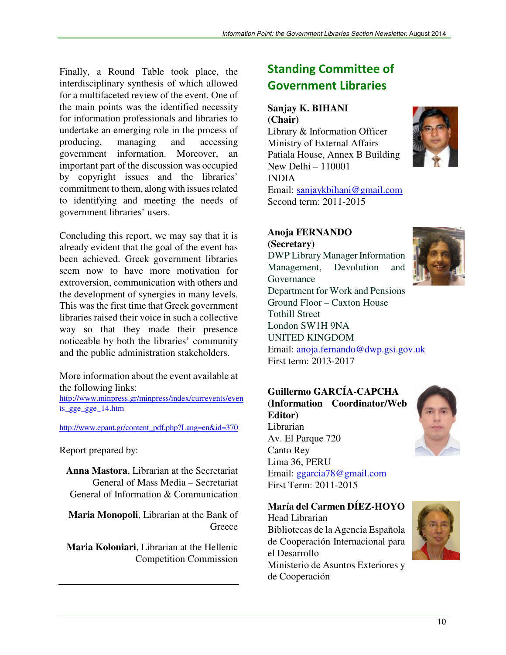Finally, a Round Table took place, the interdisciplinary synthesis of which allowed for a multifaceted review of the event. One of the main points was the identified necessity for information professionals and libraries to undertake an emerging role in the process of<br>producing, managing and accessing producing, managing and accessing government information. Moreover, an important part of the discussion was occupied by copyright issues and the libraries' commitment to them, along with issues related to identifying and meeting the needs of government libraries' users.

Concluding this report, we may say that it is already evident that the goal of the event has been achieved. Greek government libraries seem now to have more motivation for extroversion, communication with others and the development of synergies in many levels. This was the first time that Greek government libraries raised their voice in such a collective way so that they made their presence noticeable by both the libraries' community and the public administration stakeholders.

More information about the event available at the following links:

http://www.minpress.gr/minpress/index/currevents/even ts\_gge\_gge\_14.htm

http://www.epant.gr/content\_pdf.php?Lang=en&id=370

Report prepared by:

**Anna Mastora**, Librarian at the Secretariat General of Mass Media – Secretariat General of Information & Communication

**Maria Monopoli**, Librarian at the Bank of **Greece** 

**Maria Koloniari**, Librarian at the Hellenic Competition Commission

## Standing Committee of Government Libraries

#### **Sanjay K. BIHANI (Chair)**

Library & Information Officer Ministry of External Affairs Patiala House, Annex B Building New Delhi – 110001 INDIA Email: sanjaykbihani@gmail.com Second term: 2011-2015



**Anoja FERNANDO (Secretary)**  DWP Library Manager Information Management, Devolution and Governance Department for Work and Pensions Ground Floor – Caxton House Tothill Street London SW1H 9NA UNITED KINGDOM

Email: anoja.fernando@dwp.gsi.gov.uk First term: 2013-2017

**Guillermo GARCÍA-CAPCHA (Information Coordinator/Web Editor)** Librarian Av. El Parque 720 Canto Rey Lima 36, PERU Email: ggarcia78@gmail.com First Term: 2011-2015



**María del Carmen DÍEZ-HOYO** 

Head Librarian Bibliotecas de la Agencia Española de Cooperación Internacional para el Desarrollo Ministerio de Asuntos Exteriores y de Cooperación

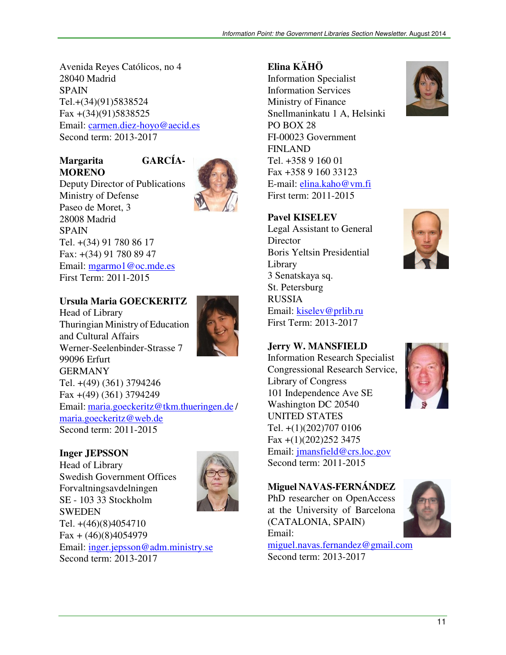Avenida Reyes Católicos, no 4 28040 Madrid SPAIN Tel.+(34)(91)5838524 Fax +(34)(91)5838525 Email: carmen.diez-hoyo@aecid.es Second term: 2013-2017

#### **Margarita GARCÍA-MORENO**



Deputy Director of Publications Ministry of Defense Paseo de Moret, 3 28008 Madrid SPAIN Tel. +(34) 91 780 86 17 Fax: +(34) 91 780 89 47 Email: mgarmo1@oc.mde.es First Term: 2011-2015

#### **Ursula Maria GOECKERITZ**

Head of Library Thuringian Ministry of Education and Cultural Affairs Werner-Seelenbinder-Strasse 7 99096 Erfurt GERMANY Tel. +(49) (361) 3794246 Fax +(49) (361) 3794249 Email: maria.goeckeritz@tkm.thueringen.de / maria.goeckeritz@web.de Second term: 2011-2015

#### **Inger JEPSSON**

Head of Library Swedish Government Offices Forvaltningsavdelningen SE - 103 33 Stockholm **SWEDEN** Tel. +(46)(8)4054710  $Fax + (46)(8)4054979$ Email: inger.jepsson@adm.ministry.se Second term: 2013-2017



#### **Elina KÄHÖ**

Information Specialist Information Services Ministry of Finance Snellmaninkatu 1 A, Helsinki PO BOX 28 FI-00023 Government FINLAND Tel. +358 9 160 01 Fax +358 9 160 33123 E-mail: elina.kaho@vm.fi First term: 2011-2015

#### **Pavel KISELEV**

Legal Assistant to General **Director** Boris Yeltsin Presidential Library 3 Senatskaya sq. St. Petersburg RUSSIA Email: kiselev@prlib.ru First Term: 2013-2017

#### **Jerry W. MANSFIELD**

Information Research Specialist Congressional Research Service, Library of Congress 101 Independence Ave SE Washington DC 20540 UNITED STATES Tel. +(1)(202)707 0106 Fax +(1)(202)252 3475 Email: jmansfield@crs.loc.gov Second term: 2011-2015



#### **Miguel NAVAS-FERNÁNDEZ**

PhD researcher on OpenAccess at the University of Barcelona (CATALONIA, SPAIN) Email:



miguel.navas.fernandez@gmail.com Second term: 2013-2017



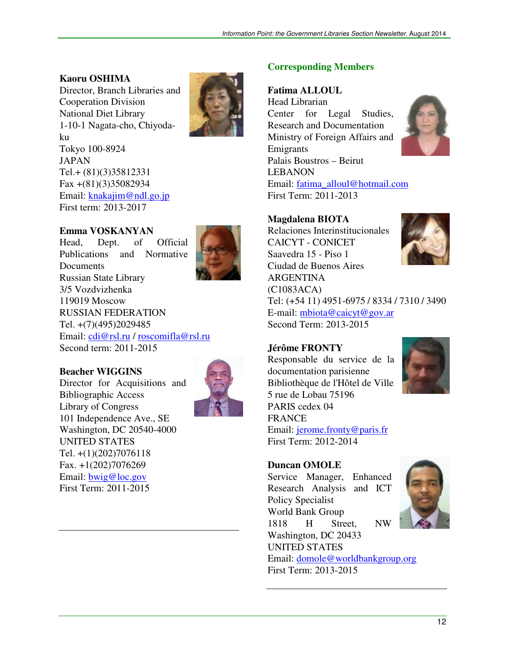### **Kaoru OSHIMA**

Director, Branch Libraries and Cooperation Division National Diet Library 1-10-1 Nagata-cho, Chiyodaku Tokyo 100-8924 JAPAN Tel.+ (81)(3)35812331 Fax +(81)(3)35082934 Email: knakajim@ndl.go.jp First term: 2013-2017



#### **Emma VOSKANYAN**

Head, Dept. of Official Publications and Normative **Documents** Russian State Library 3/5 Vozdvizhenka 119019 Moscow RUSSIAN FEDERATION Tel. +(7)(495)2029485 Email: cdi@rsl.ru / roscomifla@rsl.ru Second term: 2011-2015

#### **Beacher WIGGINS**

Director for Acquisitions and Bibliographic Access Library of Congress 101 Independence Ave., SE Washington, DC 20540-4000 UNITED STATES Tel. +(1)(202)7076118 Fax. +1(202)7076269 Email: bwig@loc.gov First Term: 2011-2015



#### **Corresponding Members**

#### **Fatima ALLOUL**

Head Librarian Center for Legal Studies, Research and Documentation Ministry of Foreign Affairs and Emigrants Palais Boustros – Beirut LEBANON



Email: fatima\_alloul@hotmail.com First Term: 2011-2013

#### **Magdalena BIOTA**

Relaciones Interinstitucionales CAICYT - CONICET Saavedra 15 - Piso 1 Ciudad de Buenos Aires ARGENTINA (C1083ACA) Tel: (+54 11) 4951-6975 / 8334 / 7310 / 3490 E-mail: mbiota@caicyt@gov.ar Second Term: 2013-2015

#### **Jérôme FRONTY**

Responsable du service de la documentation parisienne Bibliothèque de l'Hôtel de Ville 5 rue de Lobau 75196 PARIS cedex 04 FRANCE Email: jerome.fronty@paris.fr First Term: 2012-2014



#### **Duncan OMOLE**

Service Manager, Enhanced Research Analysis and ICT Policy Specialist World Bank Group 1818 H Street, NW Washington, DC 20433 UNITED STATES Email: domole@worldbankgroup.org First Term: 2013-2015

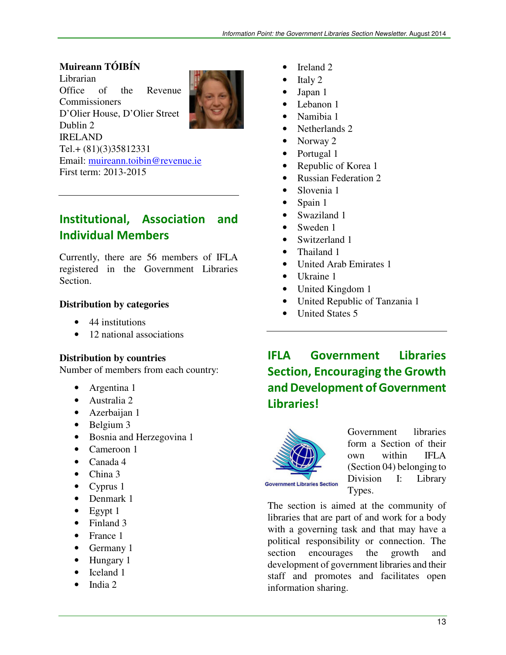### **Muireann TÓIBÍN**

Librarian Office of the Revenue Commissioners D'Olier House, D'Olier Street Dublin 2 IRELAND Tel.+ (81)(3)35812331 Email: muireann.toibin@revenue.ie First term: 2013-2015

### Institutional, Association and Individual Members

Currently, there are 56 members of IFLA registered in the Government Libraries Section.

#### **Distribution by categories**

- 44 institutions
- 12 national associations

#### **Distribution by countries**

Number of members from each country:

- Argentina 1
- Australia 2
- Azerbaijan 1
- Belgium 3
- Bosnia and Herzegovina 1
- Cameroon 1
- Canada 4
- China 3
- Cyprus 1
- Denmark 1
- $\bullet$  Egypt 1
- Finland 3
- France 1
- Germany 1
- Hungary 1
- Iceland 1
- India 2
- Ireland 2
- Italy 2
- Japan 1
- Lebanon 1
- Namibia 1
- Netherlands 2
- Norway 2
- Portugal 1
- Republic of Korea 1
- Russian Federation 2
- Slovenia 1
- Spain 1
- Swaziland 1
- Sweden 1
- Switzerland 1
- Thailand 1
- United Arab Emirates 1
- Ukraine 1
- United Kingdom 1
- United Republic of Tanzania 1
- United States 5

## IFLA Government Libraries Section, Encouraging the Growth and Development of Government Libraries!



Government libraries form a Section of their own within IFLA (Section 04) belonging to Division I: Library Types.

The section is aimed at the community of libraries that are part of and work for a body with a governing task and that may have a political responsibility or connection. The section encourages the growth and development of government libraries and their staff and promotes and facilitates open information sharing.